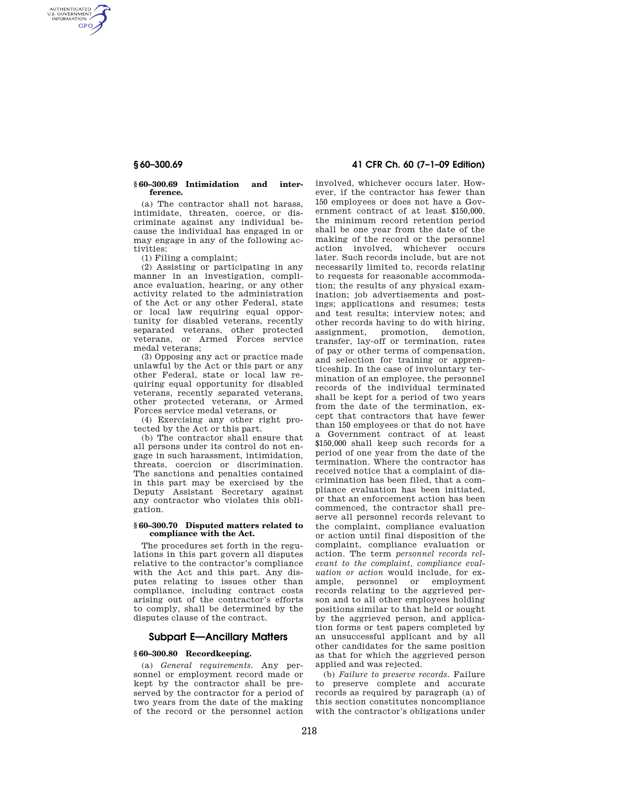AUTHENTICATED<br>U.S. GOVERNMENT<br>INFORMATION **GPO** 

#### **§ 60–300.69 Intimidation and interference.**

(a) The contractor shall not harass, intimidate, threaten, coerce, or discriminate against any individual because the individual has engaged in or may engage in any of the following activities:

(1) Filing a complaint;

(2) Assisting or participating in any manner in an investigation, compliance evaluation, hearing, or any other activity related to the administration of the Act or any other Federal, state or local law requiring equal opportunity for disabled veterans, recently separated veterans, other protected veterans, or Armed Forces service medal veterans;

(3) Opposing any act or practice made unlawful by the Act or this part or any other Federal, state or local law requiring equal opportunity for disabled veterans, recently separated veterans, other protected veterans, or Armed Forces service medal veterans, or

(4) Exercising any other right protected by the Act or this part.

(b) The contractor shall ensure that all persons under its control do not engage in such harassment, intimidation, threats, coercion or discrimination. The sanctions and penalties contained in this part may be exercised by the Deputy Assistant Secretary against any contractor who violates this obligation.

#### **§ 60–300.70 Disputed matters related to compliance with the Act.**

The procedures set forth in the regulations in this part govern all disputes relative to the contractor's compliance with the Act and this part. Any disputes relating to issues other than compliance, including contract costs arising out of the contractor's efforts to comply, shall be determined by the disputes clause of the contract.

# **Subpart E—Ancillary Matters**

# **§ 60–300.80 Recordkeeping.**

(a) *General requirements.* Any personnel or employment record made or kept by the contractor shall be preserved by the contractor for a period of two years from the date of the making of the record or the personnel action

**§ 60–300.69 41 CFR Ch. 60 (7–1–09 Edition)** 

involved, whichever occurs later. However, if the contractor has fewer than 150 employees or does not have a Government contract of at least \$150,000, the minimum record retention period shall be one year from the date of the making of the record or the personnel action involved, whichever occurs later. Such records include, but are not necessarily limited to, records relating to requests for reasonable accommodation; the results of any physical examination; job advertisements and postings; applications and resumes; tests and test results; interview notes; and other records having to do with hiring, assignment, promotion, demotion, transfer, lay-off or termination, rates of pay or other terms of compensation, and selection for training or apprenticeship. In the case of involuntary termination of an employee, the personnel records of the individual terminated shall be kept for a period of two years from the date of the termination, except that contractors that have fewer than 150 employees or that do not have a Government contract of at least \$150,000 shall keep such records for a period of one year from the date of the termination. Where the contractor has received notice that a complaint of discrimination has been filed, that a compliance evaluation has been initiated, or that an enforcement action has been commenced, the contractor shall preserve all personnel records relevant to the complaint, compliance evaluation or action until final disposition of the complaint, compliance evaluation or action. The term *personnel records relevant to the complaint, compliance evaluation or action* would include, for example, personnel or employment records relating to the aggrieved person and to all other employees holding positions similar to that held or sought by the aggrieved person, and application forms or test papers completed by an unsuccessful applicant and by all other candidates for the same position as that for which the aggrieved person applied and was rejected.

(b) *Failure to preserve records.* Failure to preserve complete and accurate records as required by paragraph (a) of this section constitutes noncompliance with the contractor's obligations under